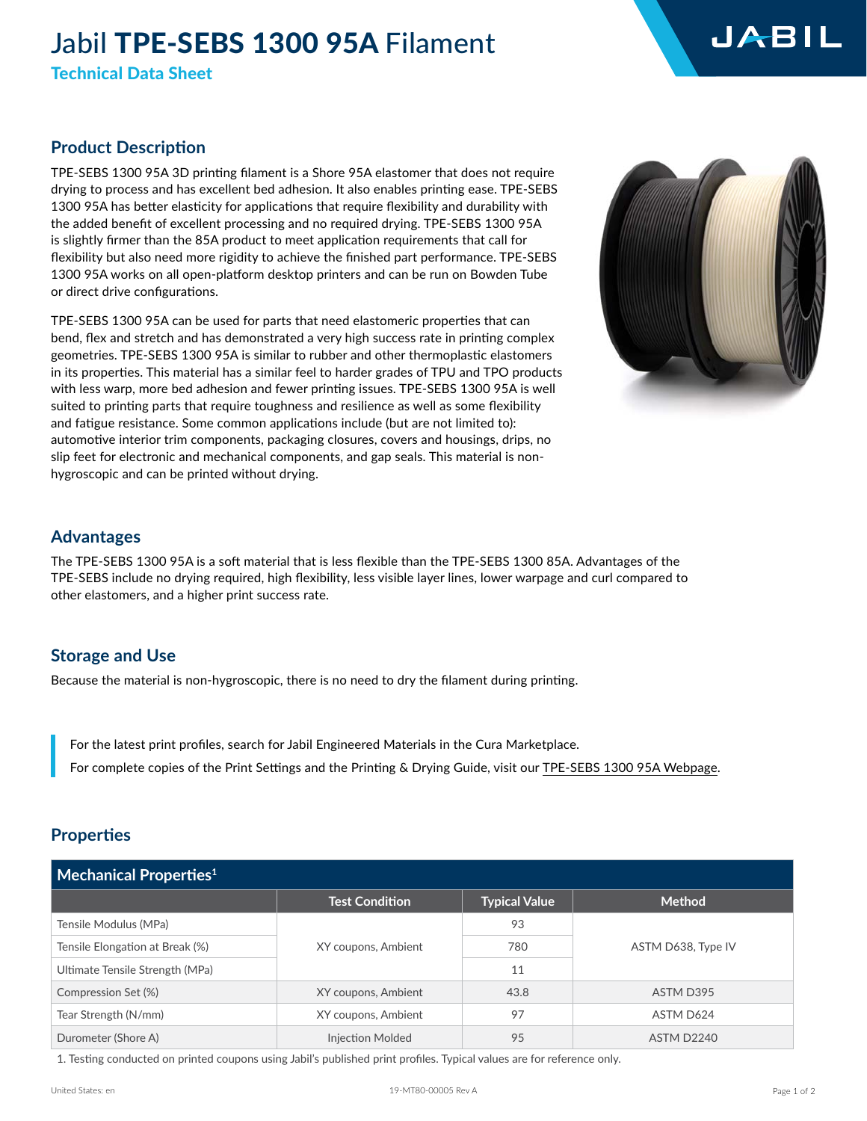# Jabil TPE-SEBS 1300 95A Filament

Technical Data Sheet

# **Product Description**

TPE-SEBS 1300 95A 3D printing filament is a Shore 95A elastomer that does not require drying to process and has excellent bed adhesion. It also enables printing ease. TPE-SEBS 1300 95A has better elasticity for applications that require flexibility and durability with the added benefit of excellent processing and no required drying. TPE-SEBS 1300 95A is slightly firmer than the 85A product to meet application requirements that call for flexibility but also need more rigidity to achieve the finished part performance. TPE-SEBS 1300 95A works on all open-platform desktop printers and can be run on Bowden Tube or direct drive configurations.

TPE-SEBS 1300 95A can be used for parts that need elastomeric properties that can bend, flex and stretch and has demonstrated a very high success rate in printing complex geometries. TPE-SEBS 1300 95A is similar to rubber and other thermoplastic elastomers in its properties. This material has a similar feel to harder grades of TPU and TPO products with less warp, more bed adhesion and fewer printing issues. TPE-SEBS 1300 95A is well suited to printing parts that require toughness and resilience as well as some flexibility and fatigue resistance. Some common applications include (but are not limited to): automotive interior trim components, packaging closures, covers and housings, drips, no slip feet for electronic and mechanical components, and gap seals. This material is nonhygroscopic and can be printed without drying.



## **Advantages**

The TPE-SEBS 1300 95A is a soft material that is less flexible than the TPE-SEBS 1300 85A. Advantages of the TPE-SEBS include no drying required, high flexibility, less visible layer lines, lower warpage and curl compared to other elastomers, and a higher print success rate.

#### **Storage and Use**

Because the material is non-hygroscopic, there is no need to dry the filament during printing.

For the latest print profiles, search for Jabil Engineered Materials in the Cura Marketplace. For complete copies of the Print Settings and the Printing & Drying Guide, visit our [TPE-SEBS 1300 95A Webpage.](https://www.jabil.com/capabilities/additive-manufacturing/jabil-engineered-materials/tpe-sebs-95a.html)

## **Properties**

| $\blacksquare$ Mechanical Properties $^1$ |                         |                      |                    |  |  |
|-------------------------------------------|-------------------------|----------------------|--------------------|--|--|
|                                           | <b>Test Condition</b>   | <b>Typical Value</b> | <b>Method</b>      |  |  |
| Tensile Modulus (MPa)                     |                         | 93                   |                    |  |  |
| Tensile Elongation at Break (%)           | XY coupons, Ambient     | 780                  | ASTM D638, Type IV |  |  |
| Ultimate Tensile Strength (MPa)           |                         | 11                   |                    |  |  |
| Compression Set (%)                       | XY coupons, Ambient     | 43.8                 | ASTM D395          |  |  |
| Tear Strength (N/mm)                      | XY coupons, Ambient     | 97                   | ASTM D624          |  |  |
| Durometer (Shore A)                       | <b>Injection Molded</b> | 95                   | ASTM D2240         |  |  |

1. Testing conducted on printed coupons using Jabil's published print profiles. Typical values are for reference only.